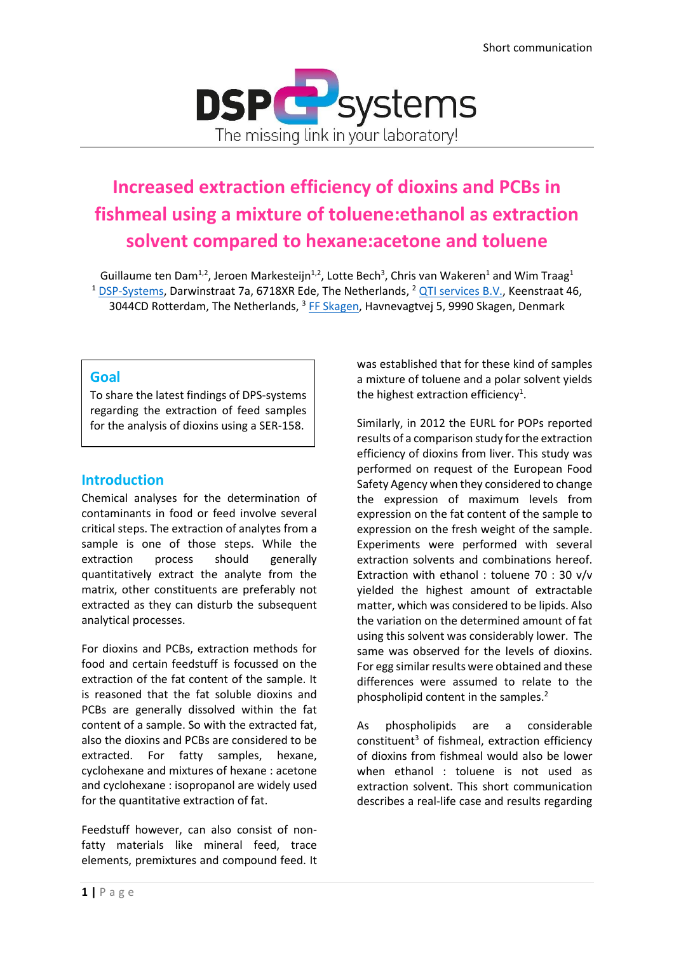

# **Increased extraction efficiency of dioxins and PCBs in fishmeal using a mixture of toluene:ethanol as extraction solvent compared to hexane:acetone and toluene**

Guillaume ten Dam<sup>1,2</sup>, Jeroen Markesteijn<sup>1,2</sup>, Lotte Bech<sup>3</sup>, Chris van Wakeren<sup>1</sup> and Wim Traag<sup>1</sup> <sup>1</sup> [DSP-Systems,](https://www.dspsystems.eu/) Darwinstraat 7a, 6718XR Ede, The Netherlands, <sup>2</sup> [QTI services B.V.,](https://qti-services.com/) Keenstraat 46, 3044CD Rotterdam, The Netherlands, <sup>3</sup> [FF Skagen,](https://ffskagen.dk/) Havnevagtvej 5, 9990 Skagen, Denmark

## **Goal**

To share the latest findings of DPS-systems regarding the extraction of feed samples for the analysis of dioxins using a SER-158.

## **Introduction**

Chemical analyses for the determination of contaminants in food or feed involve several critical steps. The extraction of analytes from a sample is one of those steps. While the extraction process should generally quantitatively extract the analyte from the matrix, other constituents are preferably not extracted as they can disturb the subsequent analytical processes.

For dioxins and PCBs, extraction methods for food and certain feedstuff is focussed on the extraction of the fat content of the sample. It is reasoned that the fat soluble dioxins and PCBs are generally dissolved within the fat content of a sample. So with the extracted fat, also the dioxins and PCBs are considered to be extracted. For fatty samples, hexane, cyclohexane and mixtures of hexane : acetone and cyclohexane : isopropanol are widely used for the quantitative extraction of fat.

Feedstuff however, can also consist of nonfatty materials like mineral feed, trace elements, premixtures and compound feed. It was established that for these kind of samples a mixture of toluene and a polar solvent yields the highest extraction efficiency<sup>1</sup>.

Similarly, in 2012 the EURL for POPs reported results of a comparison study for the extraction efficiency of dioxins from liver. This study was performed on request of the European Food Safety Agency when they considered to change the expression of maximum levels from expression on the fat content of the sample to expression on the fresh weight of the sample. Experiments were performed with several extraction solvents and combinations hereof. Extraction with ethanol : toluene 70 : 30 v/v yielded the highest amount of extractable matter, which was considered to be lipids. Also the variation on the determined amount of fat using this solvent was considerably lower. The same was observed for the levels of dioxins. For egg similar results were obtained and these differences were assumed to relate to the phospholipid content in the samples.<sup>2</sup>

As phospholipids are a considerable constituent<sup>3</sup> of fishmeal, extraction efficiency of dioxins from fishmeal would also be lower when ethanol : toluene is not used as extraction solvent. This short communication describes a real-life case and results regarding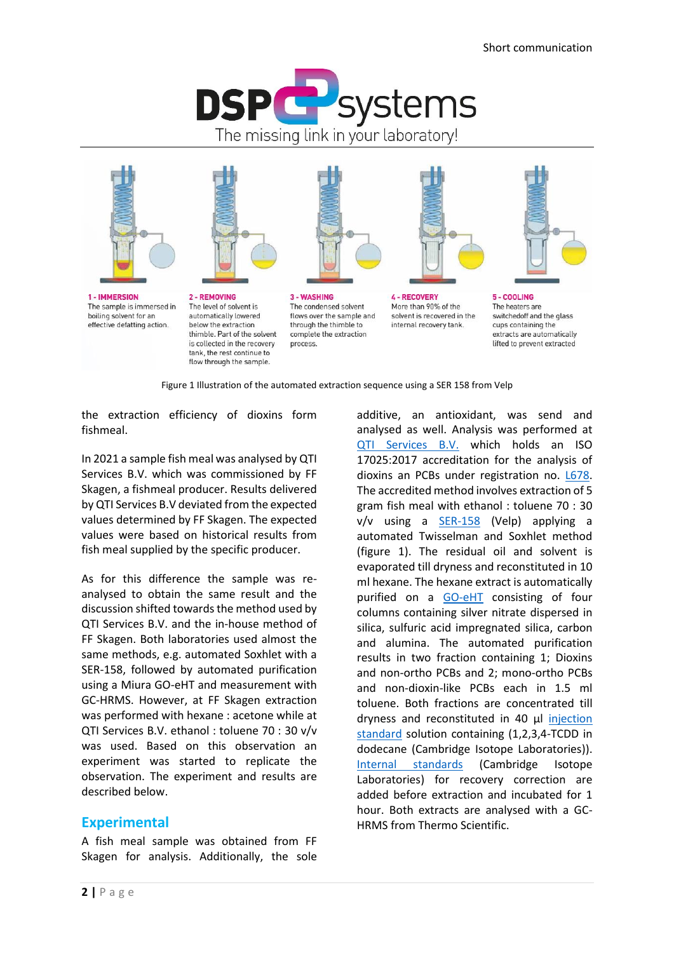





1 - IMMERSION The sample is immersed in boiling solvent for an effective defatting action.

2 - REMOVING The level of solvent is automatically lowered below the extraction thimble. Part of the solvent is collected in the recovery tank, the rest continue to flow through the sample.

3 - WASHING The condensed solvent flows over the sample and through the thimble to complete the extraction process.

**4 - RECOVERY** More than 90% of the solvent is recovered in the internal recovery tank.

 $5 - COOLING$ The heaters are switchedoff and the glass cups containing the extracts are automatically lifted to prevent extracted

Figure 1 Illustration of the automated extraction sequence using a SER 158 from Velp

the extraction efficiency of dioxins form fishmeal.

In 2021 a sample fish meal was analysed by QTI Services B.V. which was commissioned by FF Skagen, a fishmeal producer. Results delivered by QTI Services B.V deviated from the expected values determined by FF Skagen. The expected values were based on historical results from fish meal supplied by the specific producer.

As for this difference the sample was reanalysed to obtain the same result and the discussion shifted towards the method used by QTI Services B.V. and the in-house method of FF Skagen. Both laboratories used almost the same methods, e.g. automated Soxhlet with a SER-158, followed by automated purification using a Miura GO-eHT and measurement with GC-HRMS. However, at FF Skagen extraction was performed with hexane : acetone while at QTI Services B.V. ethanol : toluene 70 : 30 v/v was used. Based on this observation an experiment was started to replicate the observation. The experiment and results are described below.

## **Experimental**

A fish meal sample was obtained from FF Skagen for analysis. Additionally, the sole additive, an antioxidant, was send and analysed as well. Analysis was performed at [QTI Services B.V.](https://qti-services.com/) which holds an ISO 17025:2017 accreditation for the analysis of dioxins an PCBs under registration no. [L678.](https://www.rva.nl/en/alle-geaccrediteerden/l678/) The accredited method involves extraction of 5 gram fish meal with ethanol : toluene 70 : 30 v/v using a [SER-158](https://www.dspsystems.eu/extraction-systems/) (Velp) applying a automated Twisselman and Soxhlet method (figure 1). The residual oil and solvent is evaporated till dryness and reconstituted in 10 ml hexane. The hexane extract is automatically purified on a [GO-eHT](https://www.dspsystems.eu/wp-content/uploads/2019/12/Brochure-DSP-GO-EHT.pdf) consisting of four columns containing silver nitrate dispersed in silica, sulfuric acid impregnated silica, carbon and alumina. The automated purification results in two fraction containing 1; Dioxins and non-ortho PCBs and 2; mono-ortho PCBs and non-dioxin-like PCBs each in 1.5 ml toluene. Both fractions are concentrated till dryness and reconstituted in 40 µl injection [standard](https://www.dspsystems.eu/wp-content/uploads/2018/03/Dioxin-and-Furan-Method-Standards-Standard-Mixtures-and-Reference-Materials.pdf) solution containing (1,2,3,4-TCDD in dodecane (Cambridge Isotope Laboratories)). [Internal standards](https://www.dspsystems.eu/wp-content/uploads/2018/03/Dioxin-and-Furan-Method-Standards-Standard-Mixtures-and-Reference-Materials.pdf) (Cambridge Isotope Laboratories) for recovery correction are added before extraction and incubated for 1 hour. Both extracts are analysed with a GC-HRMS from Thermo Scientific.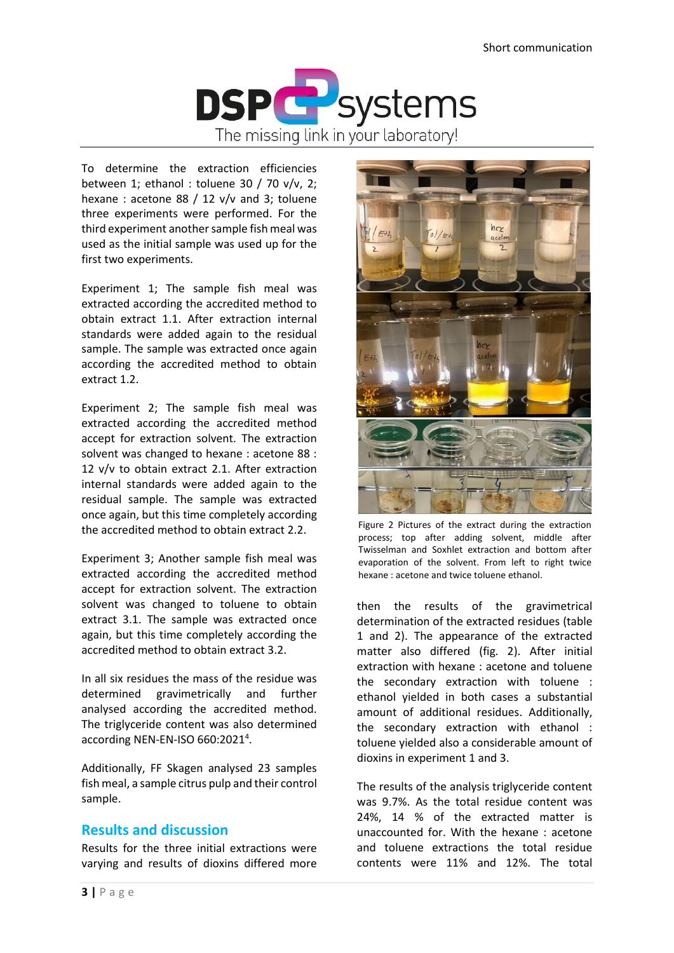

To determine the extraction efficiencies between 1; ethanol : toluene 30 / 70 v/v, 2; hexane : acetone 88 / 12 v/v and 3; toluene three experiments were performed. For the third experiment another sample fish meal was used as the initial sample was used up for the first two experiments.

Experiment 1; The sample fish meal was extracted according the accredited method to obtain extract 1.1. After extraction internal standards were added again to the residual sample. The sample was extracted once again according the accredited method to obtain extract 1.2.

Experiment 2; The sample fish meal was extracted according the accredited method accept for extraction solvent. The extraction solvent was changed to hexane : acetone 88 : 12 v/v to obtain extract 2.1. After extraction internal standards were added again to the residual sample. The sample was extracted once again, but this time completely according the accredited method to obtain extract 2.2.

Experiment 3; Another sample fish meal was extracted according the accredited method accept for extraction solvent. The extraction solvent was changed to toluene to obtain extract 3.1. The sample was extracted once again, but this time completely according the accredited method to obtain extract 3.2.

In all six residues the mass of the residue was determined gravimetrically and further analysed according the accredited method. The triglyceride content was also determined according NEN-EN-ISO 660:2021<sup>4</sup>.

Additionally, FF Skagen analysed 23 samples fish meal, a sample citrus pulp and their control sample.

## **Results and discussion**

Results for the three initial extractions were varying and results of dioxins differed more



Figure 2 Pictures of the extract during the extraction process; top after adding solvent, middle after Twisselman and Soxhlet extraction and bottom after evaporation of the solvent. From left to right twice hexane : acetone and twice toluene ethanol.

then the results of the gravimetrical determination of the extracted residues (table 1 and 2). The appearance of the extracted matter also differed (fig. 2). After initial extraction with hexane : acetone and toluene the secondary extraction with toluene : ethanol yielded in both cases a substantial amount of additional residues. Additionally, the secondary extraction with ethanol : toluene yielded also a considerable amount of dioxins in experiment 1 and 3.

The results of the analysis triglyceride content was 9.7%. As the total residue content was 24%, 14 % of the extracted matter is unaccounted for. With the hexane : acetone and toluene extractions the total residue contents were 11% and 12%. The total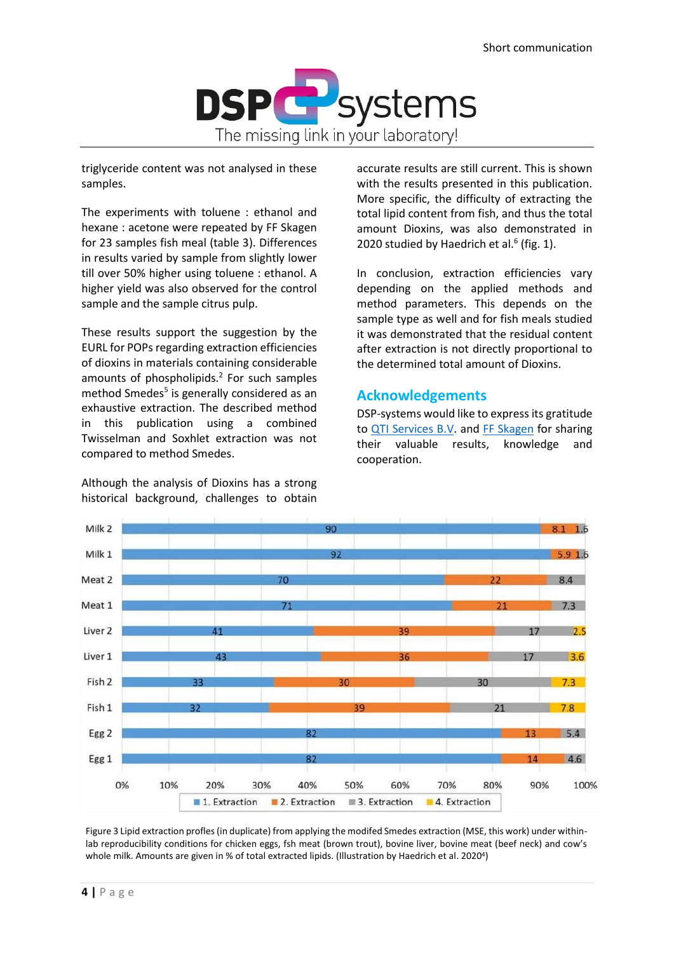

triglyceride content was not analysed in these samples.

The experiments with toluene : ethanol and hexane : acetone were repeated by FF Skagen for 23 samples fish meal (table 3). Differences in results varied by sample from slightly lower till over 50% higher using toluene : ethanol. A higher yield was also observed for the control sample and the sample citrus pulp.

These results support the suggestion by the EURL for POPs regarding extraction efficiencies of dioxins in materials containing considerable amounts of phospholipids.<sup>2</sup> For such samples method Smedes<sup>5</sup> is generally considered as an exhaustive extraction. The described method in this publication using a combined Twisselman and Soxhlet extraction was not compared to method Smedes.

Although the analysis of Dioxins has a strong historical background, challenges to obtain

accurate results are still current. This is shown with the results presented in this publication. More specific, the difficulty of extracting the total lipid content from fish, and thus the total amount Dioxins, was also demonstrated in 2020 studied by Haedrich et al. $<sup>6</sup>$  (fig. 1).</sup>

In conclusion, extraction efficiencies vary depending on the applied methods and method parameters. This depends on the sample type as well and for fish meals studied it was demonstrated that the residual content after extraction is not directly proportional to the determined total amount of Dioxins.

# **Acknowledgements**

DSP-systems would like to express its gratitude to [QTI Services B.V.](https://qti-services.com/) and [FF Skagen](https://ffskagen.dk/) for sharing their valuable results, knowledge and cooperation.



Figure 3 Lipid extraction profles (in duplicate) from applying the modifed Smedes extraction (MSE, this work) under withinlab reproducibility conditions for chicken eggs, fsh meat (brown trout), bovine liver, bovine meat (beef neck) and cow's whole milk. Amounts are given in % of total extracted lipids. (Illustration by Haedrich et al. 2020<sup>4</sup>)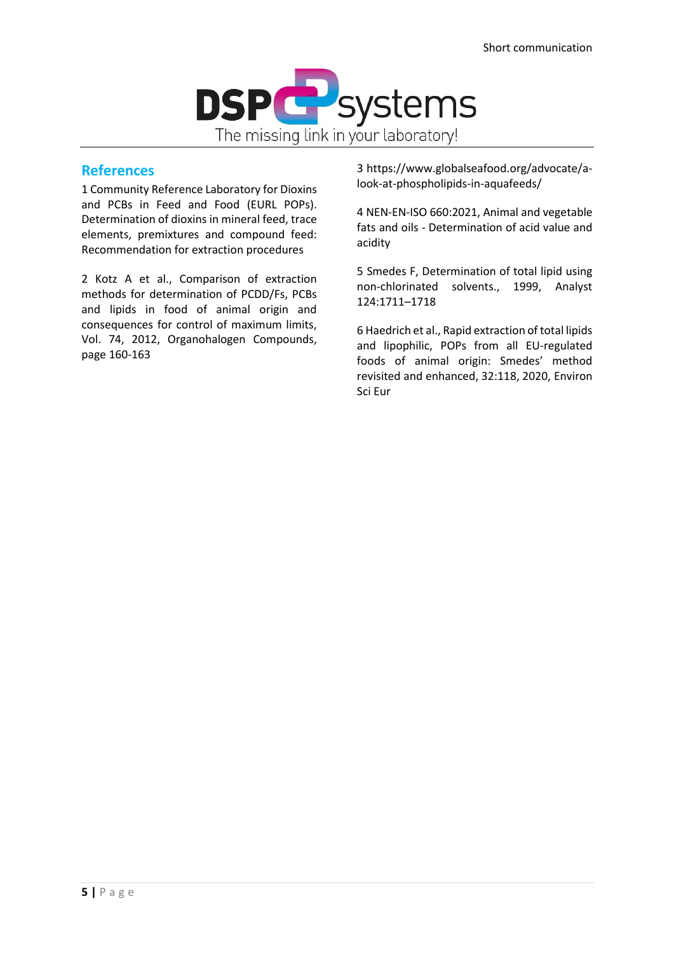

## **References**

1 Community Reference Laboratory for Dioxins and PCBs in Feed and Food (EURL POPs). Determination of dioxins in mineral feed, trace elements, premixtures and compound feed: Recommendation for extraction procedures

2 Kotz A et al., Comparison of extraction methods for determination of PCDD/Fs, PCBs and lipids in food of animal origin and consequences for control of maximum limits, Vol. 74, 2012, Organohalogen Compounds, page 160-163

3 https://www.globalseafood.org/advocate/alook-at-phospholipids-in-aquafeeds/

4 NEN-EN-ISO 660:2021, Animal and vegetable fats and oils - Determination of acid value and acidity

5 Smedes F, Determination of total lipid using non-chlorinated solvents., 1999, Analyst 124:1711–1718

6 Haedrich et al., Rapid extraction of total lipids and lipophilic, POPs from all EU-regulated foods of animal origin: Smedes' method revisited and enhanced, 32:118, 2020, Environ Sci Eur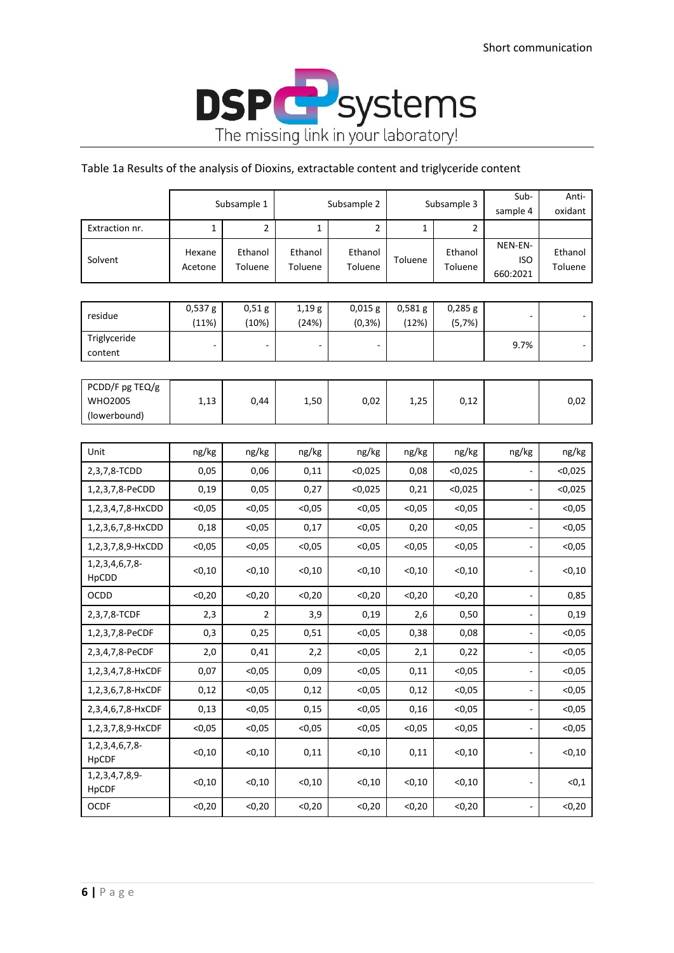

## Table 1a Results of the analysis of Dioxins, extractable content and triglyceride content

|                                                   |                   | Subsample 1        | Subsample 2        |                         | Subsample 3        |                     | Sub-<br>sample 4                  | Anti-<br>oxidant   |
|---------------------------------------------------|-------------------|--------------------|--------------------|-------------------------|--------------------|---------------------|-----------------------------------|--------------------|
| Extraction nr.                                    | 1                 | $\overline{2}$     | 1                  | $\overline{2}$          | 1                  | $\overline{2}$      |                                   |                    |
| Solvent                                           | Hexane<br>Acetone | Ethanol<br>Toluene | Ethanol<br>Toluene | Ethanol<br>Toluene      | Toluene            | Ethanol<br>Toluene  | NEN-EN-<br><b>ISO</b><br>660:2021 | Ethanol<br>Toluene |
|                                                   |                   |                    |                    |                         |                    |                     |                                   |                    |
| residue                                           | 0,537g<br>(11%)   | 0,51g<br>(10%)     | 1,19g<br>(24%)     | $0,015$ g<br>$(0, 3\%)$ | $0,581$ g<br>(12%) | $0,285$ g<br>(5,7%) |                                   |                    |
| Triglyceride<br>content                           |                   |                    |                    |                         |                    |                     | 9.7%                              |                    |
|                                                   |                   |                    |                    |                         |                    |                     |                                   |                    |
| PCDD/F pg TEQ/g<br><b>WHO2005</b><br>(lowerbound) | 1,13              | 0,44               | 1,50               | 0,02                    | 1,25               | 0,12                |                                   | 0,02               |
|                                                   |                   |                    |                    |                         |                    |                     |                                   |                    |
| Unit                                              | ng/kg             | ng/kg              | ng/kg              | ng/kg                   | ng/kg              | ng/kg               | ng/kg                             | ng/kg              |
| 2,3,7,8-TCDD                                      | 0,05              | 0,06               | 0,11               | < 0,025                 | 0,08               | < 0,025             |                                   | < 0,025            |
| 1,2,3,7,8-PeCDD                                   | 0,19              | 0,05               | 0,27               | < 0,025                 | 0,21               | < 0.025             |                                   | < 0,025            |
| 1,2,3,4,7,8-HxCDD                                 | < 0,05            | < 0,05             | < 0,05             | < 0,05                  | < 0,05             | < 0,05              |                                   | < 0,05             |
| 1,2,3,6,7,8-HxCDD                                 | 0,18              | < 0,05             | 0,17               | < 0,05                  | 0,20               | < 0,05              |                                   | < 0,05             |
| 1,2,3,7,8,9-HxCDD                                 | < 0,05            | < 0,05             | < 0,05             | < 0,05                  | < 0,05             | < 0,05              |                                   | < 0,05             |
| 1, 2, 3, 4, 6, 7, 8-<br>HpCDD                     | < 0, 10           | < 0, 10            | < 0, 10            | < 0, 10                 | < 0, 10            | < 0, 10             |                                   | $<$ 0,10           |
| OCDD                                              | < 0, 20           | < 0, 20            | < 0, 20            | < 0, 20                 | < 0, 20            | < 0, 20             |                                   | 0,85               |
| 2,3,7,8-TCDF                                      | 2,3               | 2                  | 3,9                | 0,19                    | 2,6                | 0,50                |                                   | 0,19               |
| 1,2,3,7,8-PeCDF                                   | 0,3               | 0,25               | 0,51               | < 0,05                  | 0,38               | 0,08                |                                   | < 0,05             |
| 2,3,4,7,8-PeCDF                                   | 2,0               | 0,41               | 2,2                | < 0,05                  | 2,1                | 0,22                | $\overline{\phantom{a}}$          | < 0,05             |
| 1,2,3,4,7,8-HxCDF                                 | 0,07              | < 0,05             | 0,09               | < 0,05                  | 0,11               | < 0,05              |                                   | < 0,05             |
| 1,2,3,6,7,8-HxCDF                                 | 0,12              | < 0,05             | 0,12               | < 0,05                  | 0,12               | < 0,05              |                                   | $0,05$             |
| 2,3,4,6,7,8-HxCDF                                 | 0,13              | < 0,05             | 0,15               | < 0,05                  | 0,16               | < 0.05              |                                   | < 0.05             |
| 1,2,3,7,8,9-HxCDF                                 | < 0,05            | < 0, 05            | < 0,05             | < 0,05                  | < 0,05             | < 0,05              | $\overline{\phantom{a}}$          | < 0,05             |
| 1, 2, 3, 4, 6, 7, 8-<br>HpCDF                     | < 0, 10           | < 0, 10            | 0,11               | < 0, 10                 | 0,11               | < 0, 10             | ۰                                 | < 0, 10            |
| 1, 2, 3, 4, 7, 8, 9-<br>HpCDF                     | < 0, 10           | < 0, 10            | < 0, 10            | < 0, 10                 | < 0, 10            | < 0, 10             |                                   | < 0, 1             |
| OCDF                                              | < 0, 20           | < 0, 20            | < 0, 20            | < 0, 20                 | < 0, 20            | < 0, 20             | ÷                                 | < 0, 20            |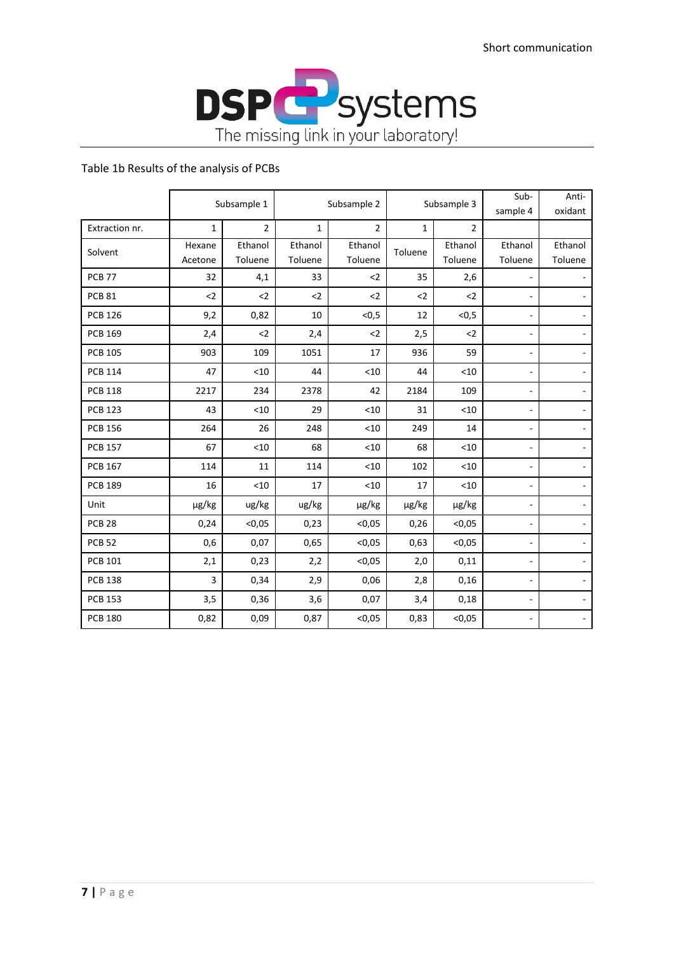

## Table 1b Results of the analysis of PCBs

|                |                   | Subsample 1        | Subsample 2        |                    | Subsample 3  |                    | Sub-<br>sample 4         | Anti-<br>oxidant         |
|----------------|-------------------|--------------------|--------------------|--------------------|--------------|--------------------|--------------------------|--------------------------|
| Extraction nr. | $\mathbf{1}$      | $\overline{2}$     | $\mathbf{1}$       | $\overline{2}$     | $\mathbf{1}$ | $\overline{2}$     |                          |                          |
| Solvent        | Hexane<br>Acetone | Ethanol<br>Toluene | Ethanol<br>Toluene | Ethanol<br>Toluene | Toluene      | Ethanol<br>Toluene | Ethanol<br>Toluene       | Ethanol<br>Toluene       |
| <b>PCB 77</b>  | 32                | 4,1                | 33                 | $2$                | 35           | 2,6                |                          |                          |
| <b>PCB 81</b>  | $2$               | $2$                | $2$                | $2$                | $2$          | $2$                | $\overline{\phantom{0}}$ | $\overline{\phantom{a}}$ |
| <b>PCB 126</b> | 9,2               | 0,82               | 10                 | < 0, 5             | 12           | < 0, 5             | $\overline{\phantom{0}}$ | $\overline{\phantom{a}}$ |
| <b>PCB 169</b> | 2,4               | $2$                | 2,4                | $2$                | 2,5          | $2$                | ۰                        |                          |
| <b>PCB 105</b> | 903               | 109                | 1051               | 17                 | 936          | 59                 | ٠                        |                          |
| <b>PCB 114</b> | 47                | < 10               | 44                 | < 10               | 44           | < 10               | ÷                        |                          |
| <b>PCB 118</b> | 2217              | 234                | 2378               | 42                 | 2184         | 109                | ۰                        | $\overline{\phantom{a}}$ |
| <b>PCB 123</b> | 43                | < 10               | 29                 | < 10               | 31           | < 10               | $\overline{\phantom{a}}$ | $\blacksquare$           |
| <b>PCB 156</b> | 264               | 26                 | 248                | < 10               | 249          | 14                 | ٠                        |                          |
| <b>PCB 157</b> | 67                | < 10               | 68                 | < 10               | 68           | < 10               | ٠                        | $\overline{\phantom{a}}$ |
| <b>PCB 167</b> | 114               | 11                 | 114                | < 10               | 102          | < 10               |                          |                          |
| <b>PCB 189</b> | 16                | < 10               | 17                 | < 10               | 17           | < 10               | $\overline{\phantom{0}}$ | $\sim$                   |
| Unit           | µg/kg             | ug/kg              | ug/kg              | µg/kg              | µg/kg        | µg/kg              | ÷,                       | $\overline{\phantom{a}}$ |
| <b>PCB 28</b>  | 0,24              | < 0.05             | 0,23               | < 0.05             | 0,26         | < 0.05             | $\overline{\phantom{0}}$ |                          |
| <b>PCB 52</b>  | 0,6               | 0,07               | 0,65               | < 0,05             | 0,63         | < 0,05             | ۰                        | $\sim$                   |
| <b>PCB 101</b> | 2,1               | 0,23               | 2,2                | < 0,05             | 2,0          | 0,11               | ۰                        | $\overline{\phantom{a}}$ |
| <b>PCB 138</b> | 3                 | 0,34               | 2,9                | 0,06               | 2,8          | 0,16               | ÷                        | $\sim$                   |
| <b>PCB 153</b> | 3,5               | 0,36               | 3,6                | 0,07               | 3,4          | 0,18               | $\overline{\phantom{a}}$ | $\overline{\phantom{a}}$ |
| <b>PCB 180</b> | 0,82              | 0,09               | 0,87               | < 0,05             | 0,83         | < 0,05             | $\overline{\phantom{0}}$ |                          |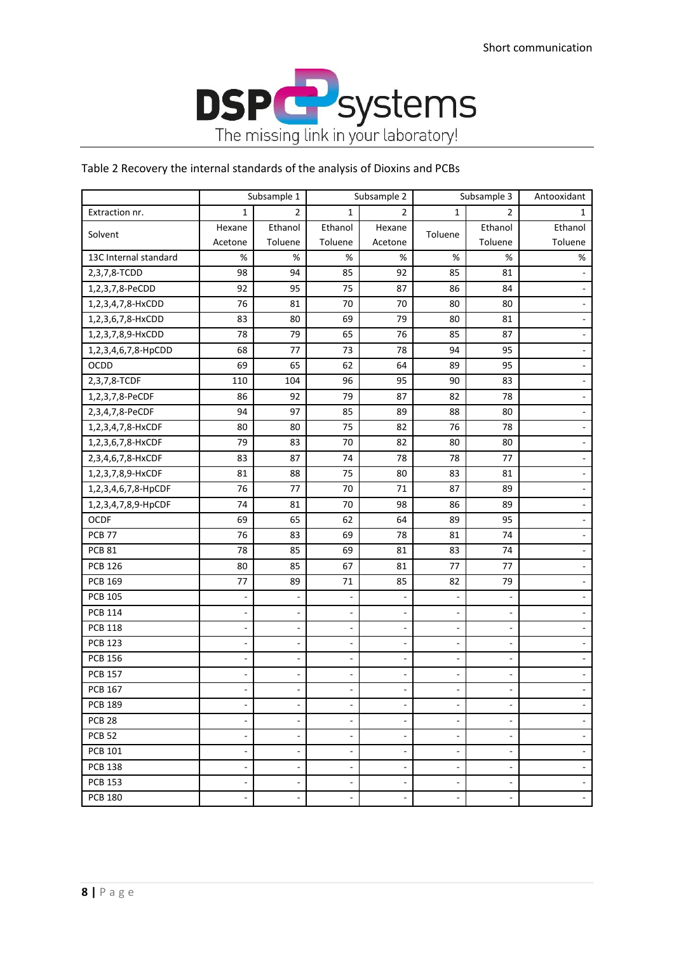

## Table 2 Recovery the internal standards of the analysis of Dioxins and PCBs

|                       | Subsample 1              |                          | Subsample 2    |                          | Subsample 3              |                          | Antooxidant              |
|-----------------------|--------------------------|--------------------------|----------------|--------------------------|--------------------------|--------------------------|--------------------------|
| Extraction nr.        | $\mathbf{1}$             | 2                        | 1              | 2                        | 1                        | 2                        | 1                        |
| Solvent               | Hexane                   | Ethanol                  | Ethanol        | Hexane                   | Toluene                  | Ethanol                  | Ethanol                  |
|                       | Acetone                  | Toluene                  | Toluene        | Acetone                  |                          | Toluene                  | Toluene                  |
| 13C Internal standard | $\%$                     | $\%$                     | $\%$           | $\%$                     | $\%$                     | $\%$                     | %                        |
| 2,3,7,8-TCDD          | 98                       | 94                       | 85             | 92                       | 85                       | 81                       | $\overline{\phantom{a}}$ |
| 1,2,3,7,8-PeCDD       | 92                       | 95                       | 75             | 87                       | 86                       | 84                       | $\blacksquare$           |
| 1,2,3,4,7,8-HxCDD     | 76                       | 81                       | 70             | 70                       | 80                       | 80                       | $\blacksquare$           |
| 1,2,3,6,7,8-HxCDD     | 83                       | 80                       | 69             | 79                       | 80                       | 81                       | $\blacksquare$           |
| 1,2,3,7,8,9-HxCDD     | 78                       | 79                       | 65             | 76                       | 85                       | 87                       | $\overline{\phantom{a}}$ |
| 1,2,3,4,6,7,8-HpCDD   | 68                       | 77                       | 73             | 78                       | 94                       | 95                       | $\blacksquare$           |
| OCDD                  | 69                       | 65                       | 62             | 64                       | 89                       | 95                       |                          |
| 2,3,7,8-TCDF          | 110                      | 104                      | 96             | 95                       | 90                       | 83                       | $\overline{\phantom{a}}$ |
| 1,2,3,7,8-PeCDF       | 86                       | 92                       | 79             | 87                       | 82                       | 78                       | $\blacksquare$           |
| 2,3,4,7,8-PeCDF       | 94                       | 97                       | 85             | 89                       | 88                       | 80                       | $\overline{\phantom{a}}$ |
| 1,2,3,4,7,8-HxCDF     | 80                       | 80                       | 75             | 82                       | 76                       | 78                       | $\overline{\phantom{a}}$ |
| 1,2,3,6,7,8-HxCDF     | 79                       | 83                       | 70             | 82                       | 80                       | 80                       | $\blacksquare$           |
| 2,3,4,6,7,8-HxCDF     | 83                       | 87                       | 74             | 78                       | 78                       | 77                       | $\blacksquare$           |
| 1,2,3,7,8,9-HxCDF     | 81                       | 88                       | 75             | 80                       | 83                       | 81                       | $\overline{\phantom{a}}$ |
| 1,2,3,4,6,7,8-HpCDF   | 76                       | 77                       | 70             | 71                       | 87                       | 89                       | $\blacksquare$           |
| 1,2,3,4,7,8,9-HpCDF   | 74                       | 81                       | 70             | 98                       | 86                       | 89                       | $\blacksquare$           |
| OCDF                  | 69                       | 65                       | 62             | 64                       | 89                       | 95                       | $\blacksquare$           |
| <b>PCB 77</b>         | 76                       | 83                       | 69             | 78                       | 81                       | 74                       | $\overline{\phantom{a}}$ |
| <b>PCB 81</b>         | 78                       | 85                       | 69             | 81                       | 83                       | 74                       | $\overline{\phantom{a}}$ |
| <b>PCB 126</b>        | 80                       | 85                       | 67             | 81                       | 77                       | 77                       | $\blacksquare$           |
| <b>PCB 169</b>        | 77                       | 89                       | 71             | 85                       | 82                       | 79                       | $\overline{\phantom{a}}$ |
| <b>PCB 105</b>        | $\overline{\phantom{a}}$ |                          | ÷,             | ÷,                       | $\overline{\phantom{a}}$ | $\overline{\phantom{a}}$ | $\mathbf{r}$             |
| <b>PCB 114</b>        | $\overline{\phantom{a}}$ |                          | ÷,             | ÷,                       | $\overline{\phantom{a}}$ | $\overline{\phantom{a}}$ | $\blacksquare$           |
| <b>PCB 118</b>        | $\blacksquare$           |                          | ÷,             | ÷,                       | ÷,                       | $\overline{\phantom{a}}$ | $\blacksquare$           |
| <b>PCB 123</b>        | ÷,                       |                          | $\overline{a}$ | ÷,                       | ÷,                       | $\overline{\phantom{a}}$ | $\blacksquare$           |
| <b>PCB 156</b>        | $\overline{\phantom{a}}$ |                          | ä,             | ÷,                       | ä,                       |                          | $\blacksquare$           |
| <b>PCB 157</b>        |                          |                          |                |                          |                          |                          | $\blacksquare$           |
| <b>PCB 167</b>        |                          |                          |                |                          | ÷,                       |                          | $\blacksquare$           |
| <b>PCB 189</b>        | $\overline{a}$           |                          |                | $\overline{\phantom{a}}$ |                          |                          |                          |
| <b>PCB 28</b>         | $\overline{\phantom{a}}$ |                          | $\overline{a}$ | $\overline{a}$           | $\overline{\phantom{a}}$ |                          | $\overline{\phantom{a}}$ |
| <b>PCB 52</b>         | $\overline{\phantom{a}}$ |                          | ÷,             | ä,                       | ä,                       | ä,                       | $\blacksquare$           |
| <b>PCB 101</b>        | $\blacksquare$           |                          | $\overline{a}$ | $\overline{\phantom{a}}$ | ٠                        |                          | $\overline{\phantom{a}}$ |
| <b>PCB 138</b>        | $\blacksquare$           | $\overline{\phantom{a}}$ | $\overline{a}$ | $\overline{\phantom{a}}$ | ٠                        | $\overline{\phantom{a}}$ | $\blacksquare$           |
| <b>PCB 153</b>        | $\overline{\phantom{a}}$ | $\sim$                   | $\overline{a}$ | $\overline{\phantom{a}}$ | $\overline{a}$           | $\overline{\phantom{a}}$ | $\overline{\phantom{a}}$ |
| <b>PCB 180</b>        | ÷,                       | $\overline{\phantom{a}}$ | ÷,             | ä,                       | ٠                        | ä,                       | $\sim$                   |